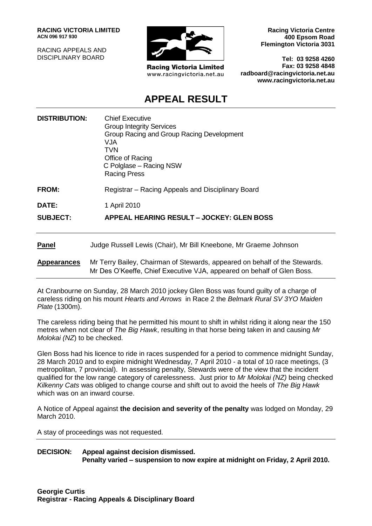**RACING VICTORIA LIMITED ACN 096 917 930**

RACING APPEALS AND DISCIPLINARY BOARD



**Racing Victoria Limited** www.racingvictoria.net.au

**Racing Victoria Centre 400 Epsom Road Flemington Victoria 3031**

**Tel: 03 9258 4260 Fax: 03 9258 4848 radboard@racingvictoria.net.au www.racingvictoria.net.au**

## **APPEAL RESULT**

| <b>DISTRIBUTION:</b> | <b>Chief Executive</b><br><b>Group Integrity Services</b><br>Group Racing and Group Racing Development<br>VJA<br>TVN<br>Office of Racing<br>C Polglase – Racing NSW<br><b>Racing Press</b> |
|----------------------|--------------------------------------------------------------------------------------------------------------------------------------------------------------------------------------------|
| <b>FROM:</b>         | Registrar – Racing Appeals and Disciplinary Board                                                                                                                                          |
| DATE:                | 1 April 2010                                                                                                                                                                               |
| <b>SUBJECT:</b>      | APPEAL HEARING RESULT – JOCKEY: GLEN BOSS                                                                                                                                                  |
| <b>Panel</b>         | Judge Russell Lewis (Chair), Mr Bill Kneebone, Mr Graeme Johnson                                                                                                                           |
| <b>Appearances</b>   | Mr Terry Bailey, Chairman of Stewards, appeared on behalf of the Stewards.<br>Mr Des O'Keeffe, Chief Executive VJA, appeared on behalf of Glen Boss.                                       |

At Cranbourne on Sunday, 28 March 2010 jockey Glen Boss was found guilty of a charge of careless riding on his mount *Hearts and Arrows* in Race 2 the *Belmark Rural SV 3YO Maiden Plate* (1300m).

The careless riding being that he permitted his mount to shift in whilst riding it along near the 150 metres when not clear of *The Big Hawk*, resulting in that horse being taken in and causing *Mr Molokai (NZ*) to be checked.

Glen Boss had his licence to ride in races suspended for a period to commence midnight Sunday, 28 March 2010 and to expire midnight Wednesday, 7 April 2010 - a total of 10 race meetings, (3 metropolitan, 7 provincial). In assessing penalty, Stewards were of the view that the incident qualified for the low range category of carelessness. Just prior to *Mr Molokai (NZ)* being checked *Kilkenny Cats* was obliged to change course and shift out to avoid the heels of *The Big Hawk* which was on an inward course.

A Notice of Appeal against **the decision and severity of the penalty** was lodged on Monday, 29 March 2010.

A stay of proceedings was not requested.

**DECISION: Appeal against decision dismissed. Penalty varied – suspension to now expire at midnight on Friday, 2 April 2010.**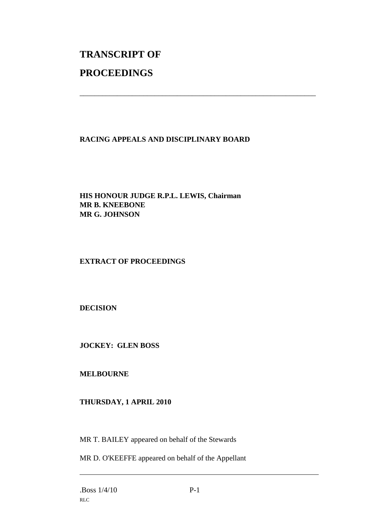# **TRANSCRIPT OF PROCEEDINGS**

#### **RACING APPEALS AND DISCIPLINARY BOARD**

\_\_\_\_\_\_\_\_\_\_\_\_\_\_\_\_\_\_\_\_\_\_\_\_\_\_\_\_\_\_\_\_\_\_\_\_\_\_\_\_\_\_\_\_\_\_\_\_\_\_\_\_\_\_\_\_\_\_\_\_\_\_\_

#### **HIS HONOUR JUDGE R.P.L. LEWIS, Chairman MR B. KNEEBONE MR G. JOHNSON**

### **EXTRACT OF PROCEEDINGS**

**DECISION**

**JOCKEY: GLEN BOSS**

**MELBOURNE**

#### **THURSDAY, 1 APRIL 2010**

MR T. BAILEY appeared on behalf of the Stewards

MR D. O'KEEFFE appeared on behalf of the Appellant